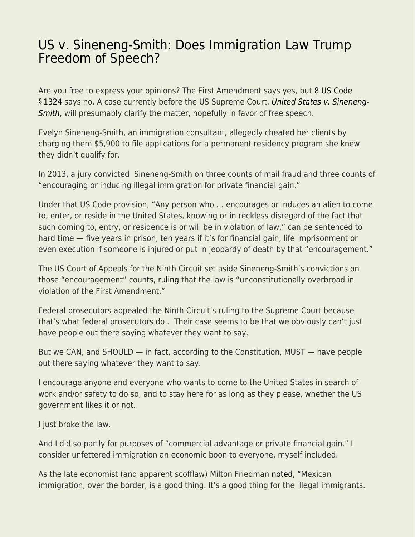## [US v. Sineneng-Smith: Does Immigration Law Trump](https://everything-voluntary.com/us-v-sineneng-smith-does-immigration-law-trump-freedom-of-speech) [Freedom of Speech?](https://everything-voluntary.com/us-v-sineneng-smith-does-immigration-law-trump-freedom-of-speech)

Are you free to express your opinions? The First Amendment says yes, but [8 US Code](https://www.law.cornell.edu/uscode/text/8/1324) §1324 says no. A case currently before the US Supreme Court, [United States v. Sineneng-](https://www.oyez.org/cases/2019/19-67#!)[Smith](https://www.oyez.org/cases/2019/19-67#!), will presumably clarify the matter, hopefully in favor of free speech.

Evelyn Sineneng-Smith, an immigration consultant, allegedly cheated her clients by charging them \$5,900 to file applications for a permanent residency program she knew they didn't qualify for.

In 2013, a jury convicted Sineneng-Smith on three counts of mail fraud and three counts of "encouraging or inducing illegal immigration for private financial gain."

Under that US Code provision, "Any person who … encourages or induces an alien to come to, enter, or reside in the United States, knowing or in reckless disregard of the fact that such coming to, entry, or residence is or will be in violation of law," can be sentenced to hard time — five years in prison, ten years if it's for financial gain, life imprisonment or even execution if someone is injured or put in jeopardy of death by that "encouragement."

The US Court of Appeals for the Ninth Circuit set aside Sineneng-Smith's convictions on those "encouragement" counts, [ruling](https://www.documentcloud.org/documents/5411038-U-S-v-Sineneng-Smith.html) that the law is "unconstitutionally overbroad in violation of the First Amendment."

Federal prosecutors appealed the Ninth Circuit's ruling to the Supreme Court because that's what federal prosecutors do . Their case seems to be that we obviously can't just have people out there saying whatever they want to say.

But we CAN, and SHOULD — in fact, according to the Constitution, MUST — have people out there saying whatever they want to say.

I encourage anyone and everyone who wants to come to the United States in search of work and/or safety to do so, and to stay here for as long as they please, whether the US government likes it or not.

I just broke the law.

And I did so partly for purposes of "commercial advantage or private financial gain." I consider unfettered immigration an economic boon to everyone, myself included.

As the late economist (and apparent scofflaw) Milton Friedman [noted,](https://medium.com/the-radical-center/what-milton-friedman-actually-said-about-illegal-immigration-6b19efaf7a5) "Mexican immigration, over the border, is a good thing. It's a good thing for the illegal immigrants.